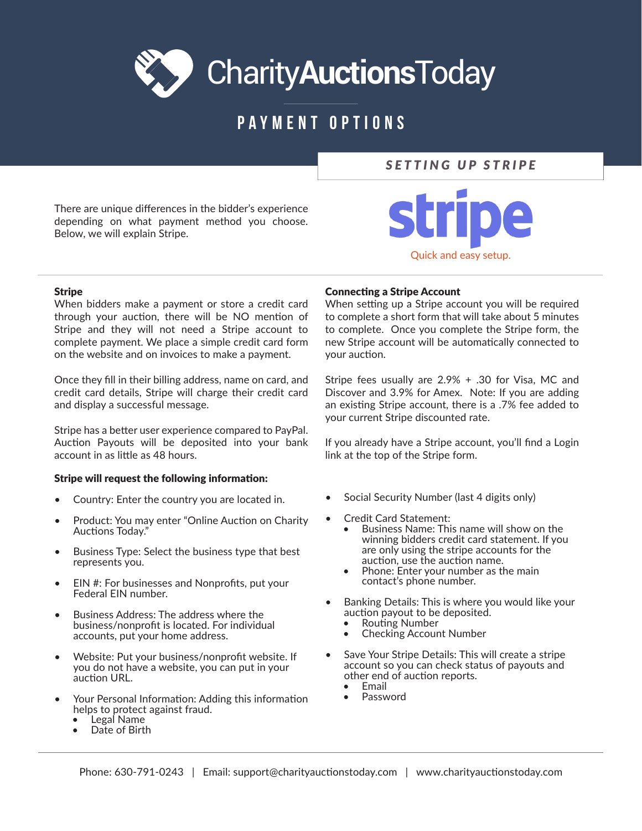# **CharityAuctionsToday**

# **PAYMENT OPTIONS**

## **SETTING UP STRIPE**

There are unique differences in the bidder's experience depending on what payment method you choose. Below, we will explain Stripe.



## **Stripe**

When bidders make a payment or store a credit card through your auction, there will be NO mention of Stripe and they will not need a Stripe account to complete payment. We place a simple credit card form on the website and on invoices to make a payment.

Once they fill in their billing address, name on card, and credit card details, Stripe will charge their credit card and display a successful message.

Stripe has a better user experience compared to PayPal. Auction Payouts will be deposited into your bank account in as little as 48 hours.

## Stripe will request the following information:

- Country: Enter the country you are located in.
- Product: You may enter "Online Auction on Charity Auctions Today."
- Business Type: Select the business type that best represents you.
- EIN #: For businesses and Nonprofits, put your Federal EIN number.
- Business Address: The address where the business/nonprofit is located. For individual accounts, put your home address.
- Website: Put your business/nonprofit website. If you do not have a website, you can put in your auction URL.
- Your Personal Information: Adding this information helps to protect against fraud.
	- Legal Name
	- Date of Birth

## **Connecting a Stripe Account**

When setting up a Stripe account you will be required to complete a short form that will take about 5 minutes to complete. Once you complete the Stripe form, the new Stripe account will be automatically connected to vour auction.

Stripe fees usually are 2.9% + .30 for Visa, MC and Discover and 3.9% for Amex. Note: If you are adding an existing Stripe account, there is a .7% fee added to your current Stripe discounted rate.

If you already have a Stripe account, you'll find a Login link at the top of the Stripe form.

- Social Security Number (last 4 digits only)
- **Credit Card Statement:** 
	- Business Name: This name will show on the winning bidders credit card statement. If you are only using the stripe accounts for the auction, use the auction name.
	- Phone: Enter your number as the main contact's phone number.
- Banking Details: This is where you would like your auction payout to be deposited.
	- Routing Number
	- **Checking Account Number**
- Save Your Stripe Details: This will create a stripe account so you can check status of payouts and other end of auction reports.
	- Email
	- Password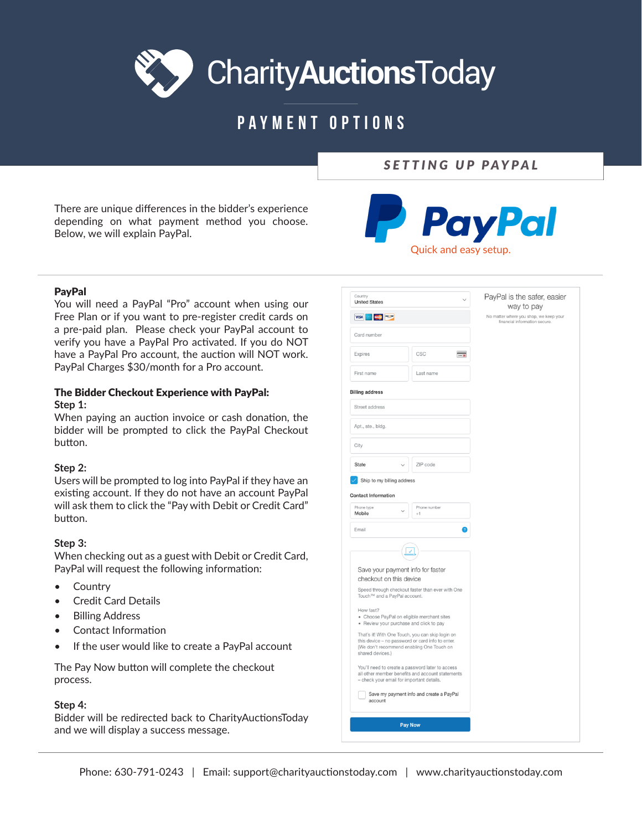# **CharityAuctionsToday**

# **PAYMENT OPTIONS**

## SETTING UP PAYPAL

There are unique differences in the bidder's experience depending on what payment method you choose. Below, we will explain PayPal.



## **PavPal**

You will need a PayPal "Pro" account when using our Free Plan or if you want to pre-register credit cards on a pre-paid plan. Please check your PayPal account to verify you have a PayPal Pro activated. If you do NOT have a PavPal Pro account, the auction will NOT work. PayPal Charges \$30/month for a Pro account.

## The Bidder Checkout Experience with PayPal: Step 1:

When paying an auction invoice or cash donation, the bidder will be prompted to click the PayPal Checkout button.

## Step 2:

Users will be prompted to log into PayPal if they have an existing account. If they do not have an account PayPal will ask them to click the "Pay with Debit or Credit Card" button.

## Step 3:

When checking out as a guest with Debit or Credit Card, PayPal will request the following information:

- $\bullet$ Country
- **Credit Card Details**
- **Billing Address**
- **Contact Information**
- If the user would like to create a PayPal account  $\bullet$

The Pay Now button will complete the checkout process.

#### Step 4:

Bidder will be redirected back to CharityAuctionsToday and we will display a success message.

| <b>United States</b>                                                                                              |                                                                                                      | way to pay<br>No matter where you shop, we keep your<br>financial information secure. |
|-------------------------------------------------------------------------------------------------------------------|------------------------------------------------------------------------------------------------------|---------------------------------------------------------------------------------------|
| VISA NE NE NE NE                                                                                                  |                                                                                                      |                                                                                       |
| Card number                                                                                                       |                                                                                                      |                                                                                       |
| Expires                                                                                                           | CSC<br>$\overline{\phantom{0}}$                                                                      |                                                                                       |
| First name                                                                                                        | Last name                                                                                            |                                                                                       |
| <b>Billing address</b>                                                                                            |                                                                                                      |                                                                                       |
| Street address                                                                                                    |                                                                                                      |                                                                                       |
| Apt., ste., bldg.                                                                                                 |                                                                                                      |                                                                                       |
| City                                                                                                              |                                                                                                      |                                                                                       |
| State                                                                                                             | ZIP code                                                                                             |                                                                                       |
| Email                                                                                                             |                                                                                                      |                                                                                       |
|                                                                                                                   | J                                                                                                    |                                                                                       |
| Save your payment info for faster                                                                                 |                                                                                                      |                                                                                       |
| checkout on this device<br>Touch™ and a PayPal account.                                                           | Speed through checkout faster than ever with One                                                     |                                                                                       |
| How fast?                                                                                                         |                                                                                                      |                                                                                       |
| · Choose PayPal on eligible merchant sites<br>• Review your purchase and click to pay                             |                                                                                                      |                                                                                       |
| this device - no password or card info to enter.<br>(We don't recommend enabling One Touch on<br>shared devices.) | That's it! With One Touch, you can skip login on                                                     |                                                                                       |
| - check your email for important details.                                                                         | You'll need to create a password later to access<br>all other member benefits and account statements |                                                                                       |
|                                                                                                                   |                                                                                                      |                                                                                       |
| account                                                                                                           | Save my payment info and create a PayPal                                                             |                                                                                       |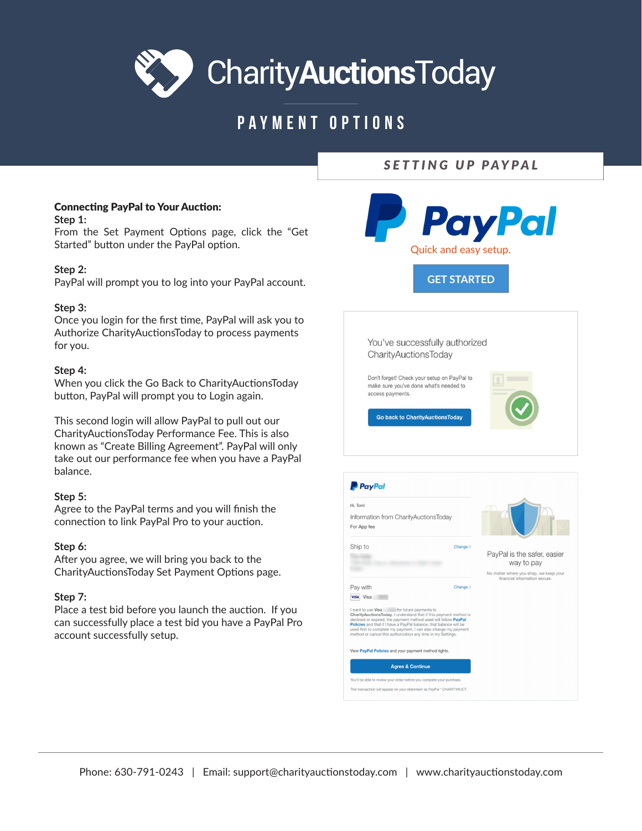

# **PAYMENT OPTIONS**

## SETTING UP PAYPAL

## **Connecting PayPal to Your Auction:**

Step 1:

From the Set Payment Options page, click the "Get Started" button under the PayPal option.

## Step 2:

PayPal will prompt you to log into your PayPal account.

## Step 3:

Once you login for the first time, PayPal will ask you to Authorize CharityAuctionsToday to process payments for you.

## Step 4:

When you click the Go Back to Charity Auctions Today button, PayPal will prompt you to Login again.

This second login will allow PayPal to pull out our Charity Auctions Today Performance Fee. This is also known as "Create Billing Agreement". PayPal will only take out our performance fee when you have a PayPal balance.

## Step 5:

Agree to the PayPal terms and you will finish the connection to link PayPal Pro to your auction.

## Step 6:

After you agree, we will bring you back to the CharityAuctionsToday Set Payment Options page.

## Step 7:

Place a test bid before you launch the auction. If you can successfully place a test bid you have a PayPal Pro account successfully setup.